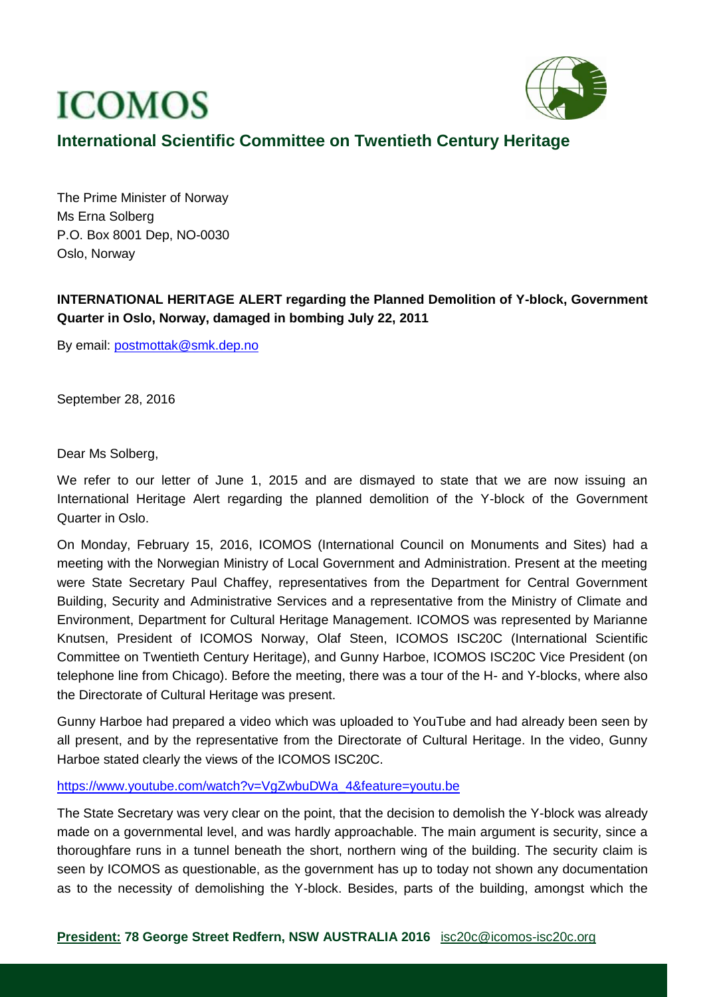## **ICOMOS**



## **International Scientific Committee on Twentieth Century Heritage**

The Prime Minister of Norway Ms Erna Solberg P.O. Box 8001 Dep, NO-0030 Oslo, Norway

## **INTERNATIONAL HERITAGE ALERT regarding the Planned Demolition of Y-block, Government Quarter in Oslo, Norway, damaged in bombing July 22, 2011**

By email: [postmottak@smk.dep.no](mailto:postmottak@smk.dep.no)

September 28, 2016

Dear Ms Solberg,

We refer to our letter of June 1, 2015 and are dismayed to state that we are now issuing an International Heritage Alert regarding the planned demolition of the Y-block of the Government Quarter in Oslo.

On Monday, February 15, 2016, ICOMOS (International Council on Monuments and Sites) had a meeting with the Norwegian Ministry of Local Government and Administration. Present at the meeting were State Secretary Paul Chaffey, representatives from the Department for Central Government Building, Security and Administrative Services and a representative from the Ministry of Climate and Environment, Department for Cultural Heritage Management. ICOMOS was represented by Marianne Knutsen, President of ICOMOS Norway, Olaf Steen, ICOMOS ISC20C (International Scientific Committee on Twentieth Century Heritage), and Gunny Harboe, ICOMOS ISC20C Vice President (on telephone line from Chicago). Before the meeting, there was a tour of the H- and Y-blocks, where also the Directorate of Cultural Heritage was present.

Gunny Harboe had prepared a video which was uploaded to YouTube and had already been seen by all present, and by the representative from the Directorate of Cultural Heritage. In the video, Gunny Harboe stated clearly the views of the ICOMOS ISC20C.

## [https://www.youtube.com/watch?v=VgZwbuDWa\\_4&feature=youtu.be](https://www.youtube.com/watch?v=VgZwbuDWa_4&feature=youtu.be)

The State Secretary was very clear on the point, that the decision to demolish the Y-block was already made on a governmental level, and was hardly approachable. The main argument is security, since a thoroughfare runs in a tunnel beneath the short, northern wing of the building. The security claim is seen by ICOMOS as questionable, as the government has up to today not shown any documentation as to the necessity of demolishing the Y-block. Besides, parts of the building, amongst which the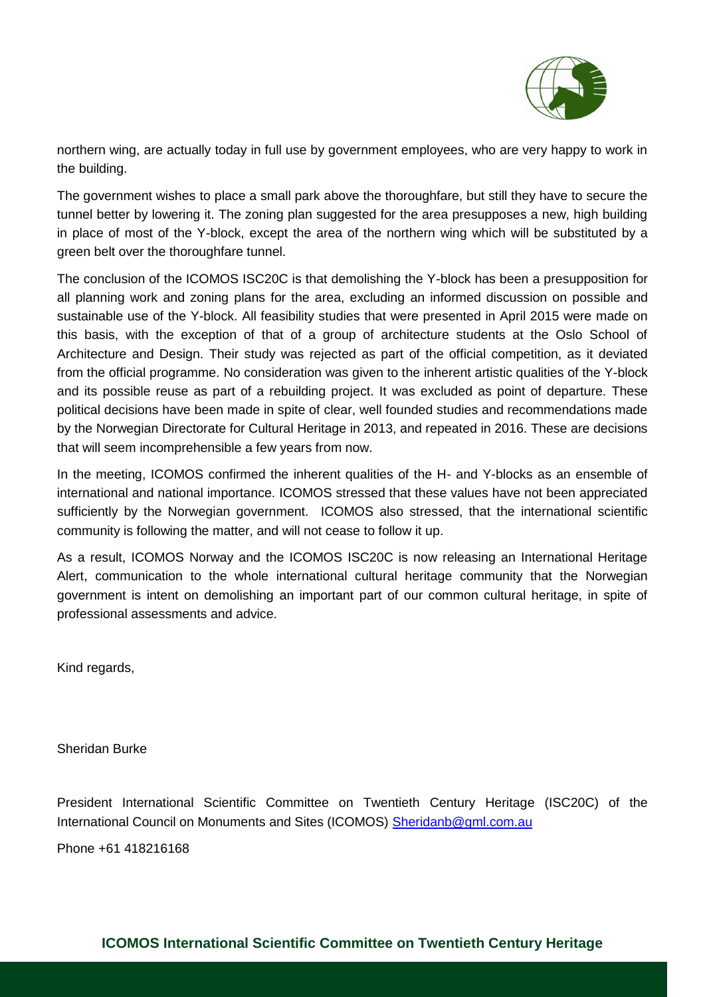

northern wing, are actually today in full use by government employees, who are very happy to work in the building.

The government wishes to place a small park above the thoroughfare, but still they have to secure the tunnel better by lowering it. The zoning plan suggested for the area presupposes a new, high building in place of most of the Y-block, except the area of the northern wing which will be substituted by a green belt over the thoroughfare tunnel.

The conclusion of the ICOMOS ISC20C is that demolishing the Y-block has been a presupposition for all planning work and zoning plans for the area, excluding an informed discussion on possible and sustainable use of the Y-block. All feasibility studies that were presented in April 2015 were made on this basis, with the exception of that of a group of architecture students at the Oslo School of Architecture and Design. Their study was rejected as part of the official competition, as it deviated from the official programme. No consideration was given to the inherent artistic qualities of the Y-block and its possible reuse as part of a rebuilding project. It was excluded as point of departure. These political decisions have been made in spite of clear, well founded studies and recommendations made by the Norwegian Directorate for Cultural Heritage in 2013, and repeated in 2016. These are decisions that will seem incomprehensible a few years from now.

In the meeting, ICOMOS confirmed the inherent qualities of the H- and Y-blocks as an ensemble of international and national importance. ICOMOS stressed that these values have not been appreciated sufficiently by the Norwegian government. ICOMOS also stressed, that the international scientific community is following the matter, and will not cease to follow it up.

As a result, ICOMOS Norway and the ICOMOS ISC20C is now releasing an International Heritage Alert, communication to the whole international cultural heritage community that the Norwegian government is intent on demolishing an important part of our common cultural heritage, in spite of professional assessments and advice.

Kind regards,

Sheridan Burke

President International Scientific Committee on Twentieth Century Heritage (ISC20C) of the International Council on Monuments and Sites (ICOMOS) [Sheridanb@gml.com.au](mailto:Sheridanb@gml.com.au)

Phone +61 418216168